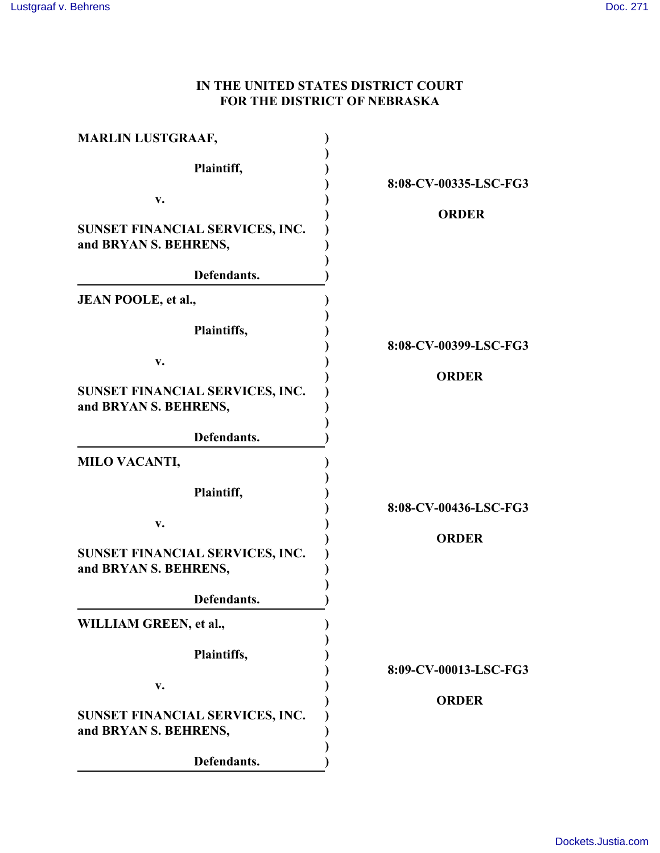## **IN THE UNITED STATES DISTRICT COURT FOR THE DISTRICT OF NEBRASKA**

| <b>MARLIN LUSTGRAAF,</b>                                 |                       |
|----------------------------------------------------------|-----------------------|
| Plaintiff,                                               | 8:08-CV-00335-LSC-FG3 |
| v.                                                       |                       |
| SUNSET FINANCIAL SERVICES, INC.<br>and BRYAN S. BEHRENS, | <b>ORDER</b>          |
| Defendants.                                              |                       |
| JEAN POOLE, et al.,                                      |                       |
| Plaintiffs,                                              | 8:08-CV-00399-LSC-FG3 |
| v.                                                       | <b>ORDER</b>          |
| SUNSET FINANCIAL SERVICES, INC.<br>and BRYAN S. BEHRENS, |                       |
| Defendants.                                              |                       |
| <b>MILO VACANTI,</b>                                     |                       |
| Plaintiff,                                               | 8:08-CV-00436-LSC-FG3 |
| v.                                                       |                       |
| SUNSET FINANCIAL SERVICES, INC.<br>and BRYAN S. BEHRENS, | <b>ORDER</b>          |
| Defendants.                                              |                       |
| WILLIAM GREEN, et al.,                                   |                       |
| Plaintiffs,                                              | 8:09-CV-00013-LSC-FG3 |
| v.                                                       |                       |
| SUNSET FINANCIAL SERVICES, INC.<br>and BRYAN S. BEHRENS, | <b>ORDER</b>          |
| Defendants.                                              |                       |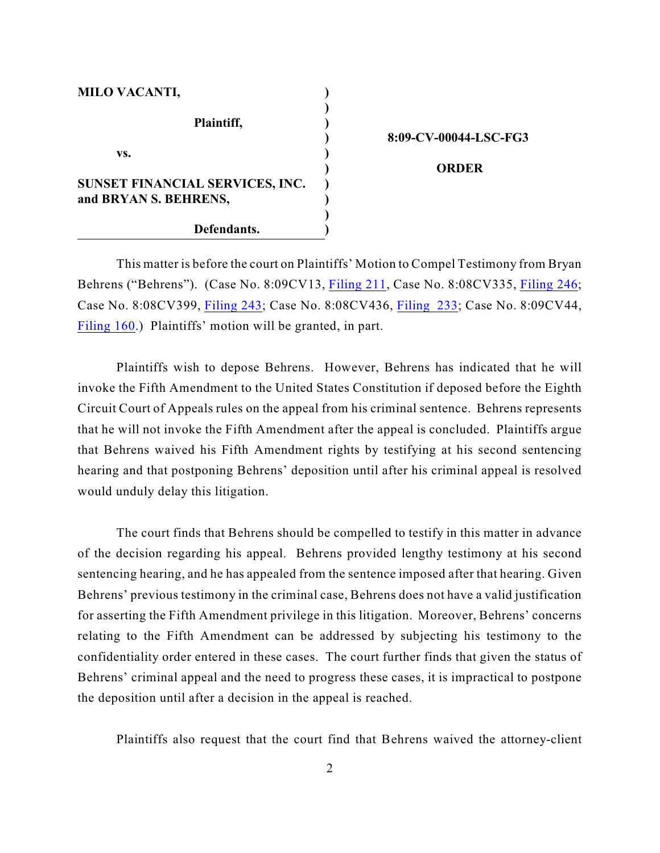| <b>MILO VACANTI,</b>            |  |
|---------------------------------|--|
| Plaintiff,                      |  |
| VS.                             |  |
| SUNSET FINANCIAL SERVICES, INC. |  |
| and BRYAN S. BEHRENS,           |  |
| Defendants.                     |  |

**8:09-CV-00044-LSC-FG3**

 **ORDER**

This matter is before the court on Plaintiffs' Motion to Compel Testimony from Bryan Behrens ("Behrens"). (Case No. 8:09CV13, [Filing 211](https://ecf.ned.uscourts.gov/doc1/11312481694), Case No. 8:08CV335, [Filing 246](https://ecf.ned.uscourts.gov/doc1/11312481582); Case No. 8:08CV399, [Filing 243](https://ecf.ned.uscourts.gov/doc1/11312481608); Case No. 8:08CV436, [Filing 233](https://ecf.ned.uscourts.gov/doc1/11312481651); Case No. 8:09CV44, [Filing 160](https://ecf.ned.uscourts.gov/doc1/11312481725).) Plaintiffs' motion will be granted, in part.

Plaintiffs wish to depose Behrens. However, Behrens has indicated that he will invoke the Fifth Amendment to the United States Constitution if deposed before the Eighth Circuit Court of Appeals rules on the appeal from his criminal sentence. Behrens represents that he will not invoke the Fifth Amendment after the appeal is concluded. Plaintiffs argue that Behrens waived his Fifth Amendment rights by testifying at his second sentencing hearing and that postponing Behrens' deposition until after his criminal appeal is resolved would unduly delay this litigation.

The court finds that Behrens should be compelled to testify in this matter in advance of the decision regarding his appeal. Behrens provided lengthy testimony at his second sentencing hearing, and he has appealed from the sentence imposed after that hearing. Given Behrens' previous testimony in the criminal case, Behrens does not have a valid justification for asserting the Fifth Amendment privilege in this litigation. Moreover, Behrens' concerns relating to the Fifth Amendment can be addressed by subjecting his testimony to the confidentiality order entered in these cases. The court further finds that given the status of Behrens' criminal appeal and the need to progress these cases, it is impractical to postpone the deposition until after a decision in the appeal is reached.

Plaintiffs also request that the court find that Behrens waived the attorney-client